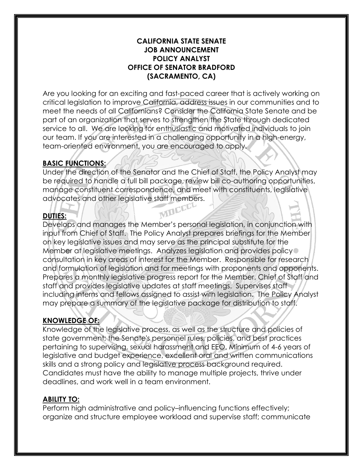#### **CALIFORNIA STATE SENATE JOB ANNOUNCEMENT POLICY ANALYST OFFICE OF SENATOR BRADFORD (SACRAMENTO, CA)**

Are you looking for an exciting and fast-paced career that is actively working on critical legislation to improve California, address issues in our communities and to meet the needs of all Californians? Consider the California State Senate and be part of an organization that serves to strengthen the State through dedicated service to all. We are looking for enthusiastic and motivated individuals to join our team. If you are interested in a challenging opportunity in a high-energy, team-oriented environment, you are encouraged to apply.

## **BASIC FUNCTIONS:**

Under the direction of the Senator and the Chief of Staff, the Policy Analyst may be required to handle a full bill package, review bill co-authoring opportunities, manage constituent correspondence, and meet with constituents, legislative advocates and other legislative staff members.<br>**DUTIES:** 

## **DUTIES:**

Develops and manages the Member's personal legislation, in conjunction with input from Chief of Staff. The Policy Analyst prepares briefings for the Member on key legislative issues and may serve as the principal substitute for the Member at legislative meetings. Analyzes legislation and provides policy consultation in key areas of interest for the Member. Responsible for research and formulation of legislation and for meetings with proponents and opponents. Prepares a monthly legislative progress report for the Member, Chief of Staff and staff and provides legislative updates at staff meetings. Supervises staff including interns and fellows assigned to assist with legislation. The Policy Analyst may prepare a summary of the legislative package for distribution to staff.

### **KNOWLEDGE OF:**

Knowledge of the legislative process, as well as the structure and policies of state government; the Senate's personnel rules, policies, and best practices pertaining to supervising, sexual harassment and EEO. Minimum of 4-6 years of legislative and budget experience, excellent oral and written communications skills and a strong policy and legislative process background required. Candidates must have the ability to manage multiple projects, thrive under deadlines, and work well in a team environment.

### **ABILITY TO:**

Perform high administrative and policy–influencing functions effectively; organize and structure employee workload and supervise staff; communicate